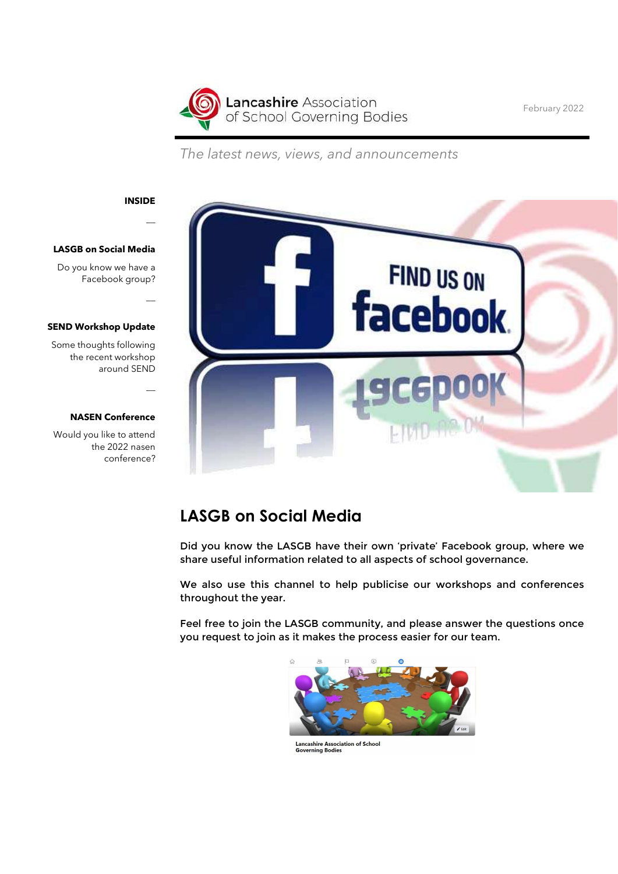

February 2022

The latest news, views, and announcements



 $\overline{\phantom{a}}$ 

 $\overline{a}$ 

 $\overline{\phantom{a}}$ 

### LASGB on Social Media

Do you know we have a Facebook group?

#### SEND Workshop Update

Some thoughts following the recent workshop around SEND

#### NASEN Conference

Would you like to attend the 2022 nasen conference?



### LASGB on Social Media

Did you know the LASGB have their own 'private' Facebook group, where we share useful information related to all aspects of school governance.

We also use this channel to help publicise our workshops and conferences throughout the year.

Feel free to join the LASGB community, and please answer the questions once you request to join as it makes the process easier for our team.



**Lancashire Association of School Governing Bodies**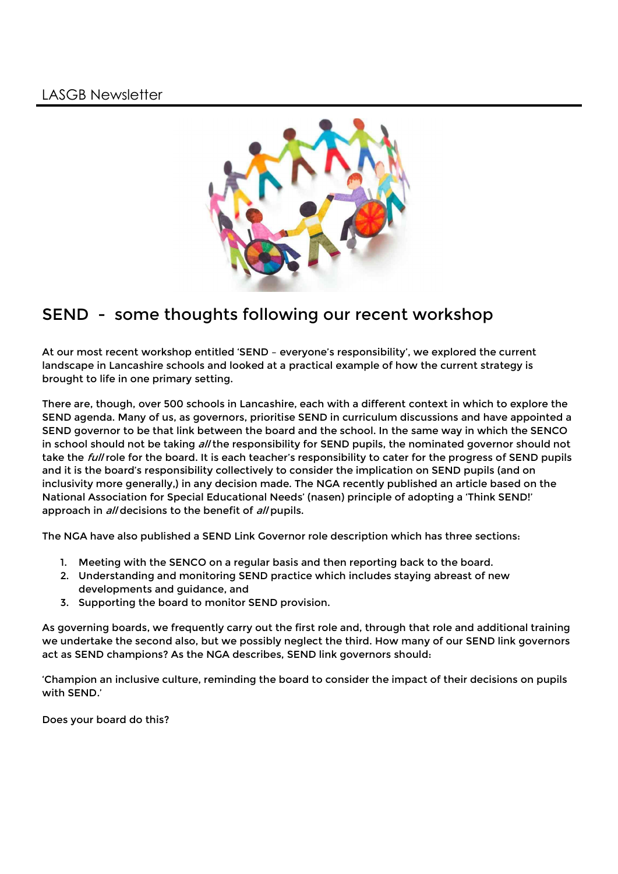

# SEND - some thoughts following our recent workshop

At our most recent workshop entitled 'SEND – everyone's responsibility', we explored the current landscape in Lancashire schools and looked at a practical example of how the current strategy is brought to life in one primary setting.

There are, though, over 500 schools in Lancashire, each with a different context in which to explore the SEND agenda. Many of us, as governors, prioritise SEND in curriculum discussions and have appointed a SEND governor to be that link between the board and the school. In the same way in which the SENCO in school should not be taking all the responsibility for SEND pupils, the nominated governor should not take the *full* role for the board. It is each teacher's responsibility to cater for the progress of SEND pupils and it is the board's responsibility collectively to consider the implication on SEND pupils (and on inclusivity more generally,) in any decision made. The NGA recently published an article based on the National Association for Special Educational Needs' (nasen) principle of adopting a 'Think SEND!' approach in *all* decisions to the benefit of *all* pupils.

The NGA have also published a SEND Link Governor role description which has three sections:

- 1. Meeting with the SENCO on a regular basis and then reporting back to the board.
- 2. Understanding and monitoring SEND practice which includes staying abreast of new developments and guidance, and
- 3. Supporting the board to monitor SEND provision.

As governing boards, we frequently carry out the first role and, through that role and additional training we undertake the second also, but we possibly neglect the third. How many of our SEND link governors act as SEND champions? As the NGA describes, SEND link governors should:

'Champion an inclusive culture, reminding the board to consider the impact of their decisions on pupils with SEND.'

Does your board do this?